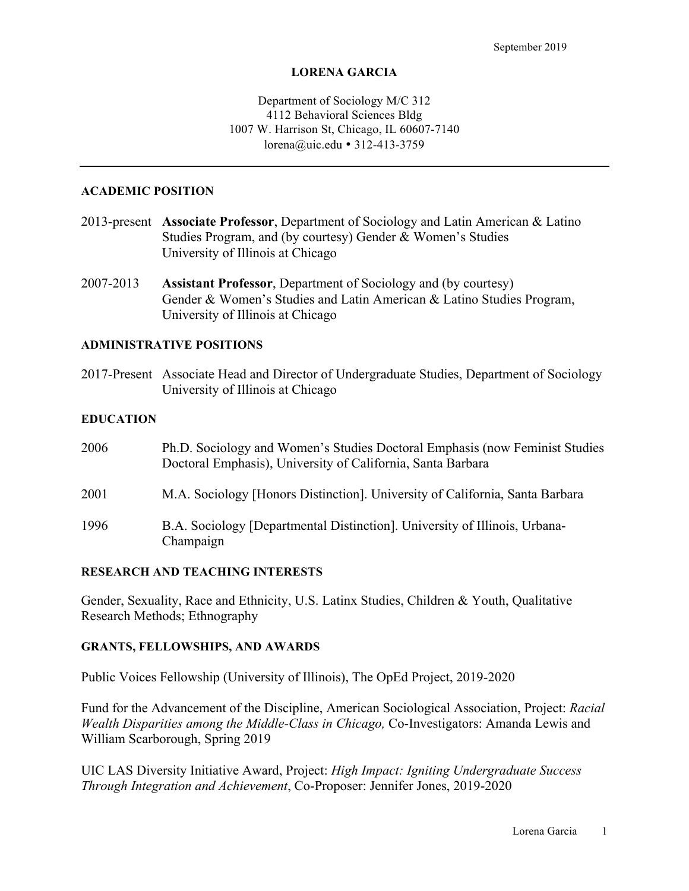#### **LORENA GARCIA**

### Department of Sociology M/C 312 4112 Behavioral Sciences Bldg 1007 W. Harrison St, Chicago, IL 60607-7140 lorena@uic.edu • 312-413-3759

#### **ACADEMIC POSITION**

- 2013-present **Associate Professor**, Department of Sociology and Latin American & Latino Studies Program, and (by courtesy) Gender & Women's Studies University of Illinois at Chicago
- 2007-2013 **Assistant Professor**, Department of Sociology and (by courtesy) Gender & Women's Studies and Latin American & Latino Studies Program, University of Illinois at Chicago

### **ADMINISTRATIVE POSITIONS**

2017-Present Associate Head and Director of Undergraduate Studies, Department of Sociology University of Illinois at Chicago

#### **EDUCATION**

| 2006 | Ph.D. Sociology and Women's Studies Doctoral Emphasis (now Feminist Studies)<br>Doctoral Emphasis), University of California, Santa Barbara |
|------|---------------------------------------------------------------------------------------------------------------------------------------------|
| 2001 | M.A. Sociology [Honors Distinction]. University of California, Santa Barbara                                                                |
| 1996 | B.A. Sociology [Departmental Distinction]. University of Illinois, Urbana-<br>Champaign                                                     |

#### **RESEARCH AND TEACHING INTERESTS**

Gender, Sexuality, Race and Ethnicity, U.S. Latinx Studies, Children & Youth, Qualitative Research Methods; Ethnography

### **GRANTS, FELLOWSHIPS, AND AWARDS**

Public Voices Fellowship (University of Illinois), The OpEd Project, 2019-2020

Fund for the Advancement of the Discipline, American Sociological Association, Project: *Racial Wealth Disparities among the Middle-Class in Chicago,* Co-Investigators: Amanda Lewis and William Scarborough, Spring 2019

UIC LAS Diversity Initiative Award, Project: *High Impact: Igniting Undergraduate Success Through Integration and Achievement*, Co-Proposer: Jennifer Jones, 2019-2020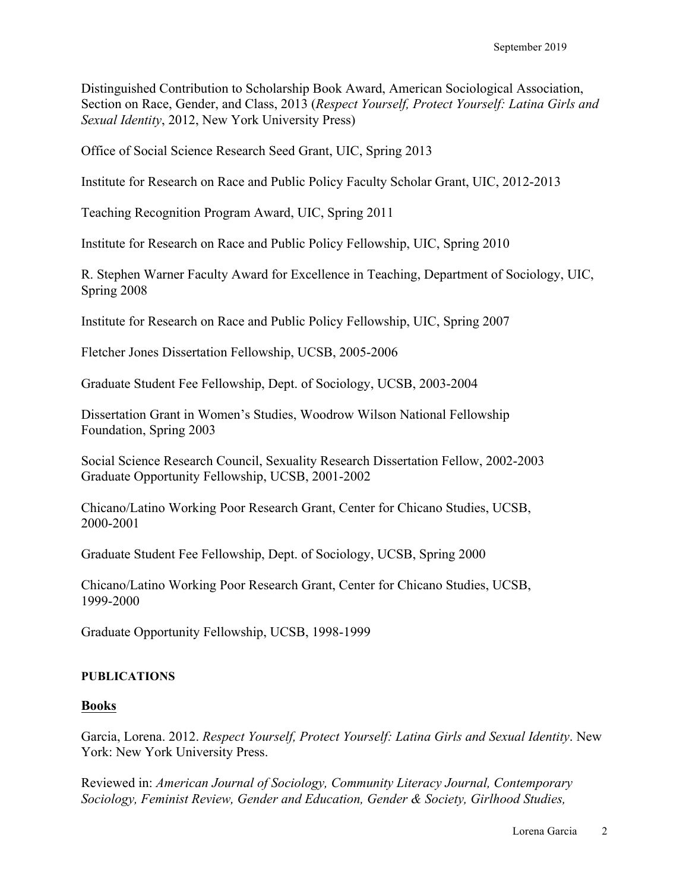Distinguished Contribution to Scholarship Book Award, American Sociological Association, Section on Race, Gender, and Class, 2013 (*Respect Yourself, Protect Yourself: Latina Girls and Sexual Identity*, 2012, New York University Press)

Office of Social Science Research Seed Grant, UIC, Spring 2013

Institute for Research on Race and Public Policy Faculty Scholar Grant, UIC, 2012-2013

Teaching Recognition Program Award, UIC, Spring 2011

Institute for Research on Race and Public Policy Fellowship, UIC, Spring 2010

R. Stephen Warner Faculty Award for Excellence in Teaching, Department of Sociology, UIC, Spring 2008

Institute for Research on Race and Public Policy Fellowship, UIC, Spring 2007

Fletcher Jones Dissertation Fellowship, UCSB, 2005-2006

Graduate Student Fee Fellowship, Dept. of Sociology, UCSB, 2003-2004

Dissertation Grant in Women's Studies, Woodrow Wilson National Fellowship Foundation, Spring 2003

Social Science Research Council, Sexuality Research Dissertation Fellow, 2002-2003 Graduate Opportunity Fellowship, UCSB, 2001-2002

Chicano/Latino Working Poor Research Grant, Center for Chicano Studies, UCSB, 2000-2001

Graduate Student Fee Fellowship, Dept. of Sociology, UCSB, Spring 2000

Chicano/Latino Working Poor Research Grant, Center for Chicano Studies, UCSB, 1999-2000

Graduate Opportunity Fellowship, UCSB, 1998-1999

#### **PUBLICATIONS**

#### **Books**

Garcia, Lorena. 2012. *Respect Yourself, Protect Yourself: Latina Girls and Sexual Identity*. New York: New York University Press.

Reviewed in: *American Journal of Sociology, Community Literacy Journal, Contemporary Sociology, Feminist Review, Gender and Education, Gender & Society, Girlhood Studies,*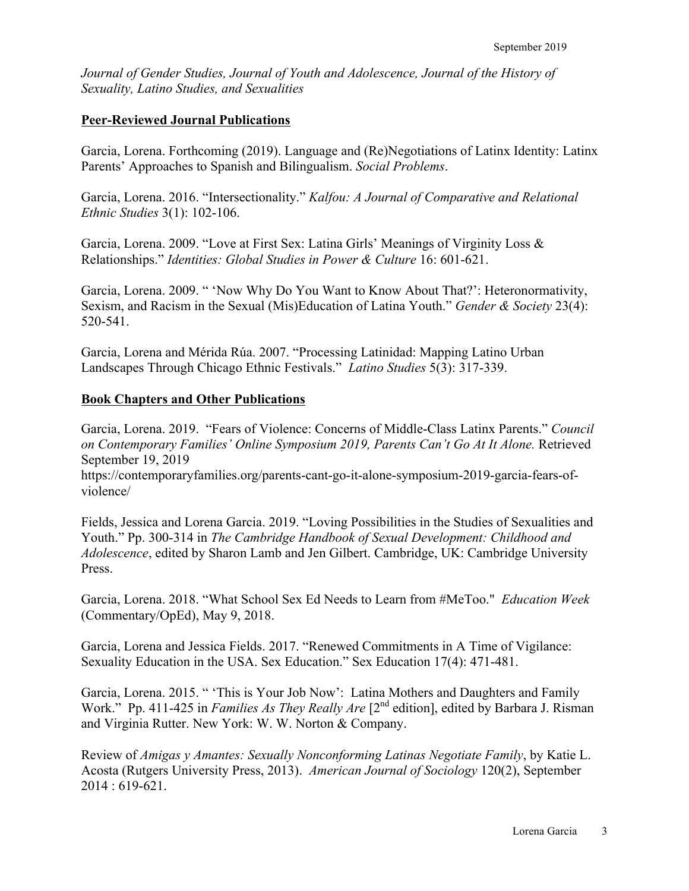*Journal of Gender Studies, Journal of Youth and Adolescence, Journal of the History of Sexuality, Latino Studies, and Sexualities*

# **Peer-Reviewed Journal Publications**

Garcia, Lorena. Forthcoming (2019). Language and (Re)Negotiations of Latinx Identity: Latinx Parents' Approaches to Spanish and Bilingualism. *Social Problems*.

Garcia, Lorena. 2016. "Intersectionality." *Kalfou: A Journal of Comparative and Relational Ethnic Studies* 3(1): 102-106.

Garcia, Lorena. 2009. "Love at First Sex: Latina Girls' Meanings of Virginity Loss & Relationships." *Identities: Global Studies in Power & Culture* 16: 601-621.

Garcia, Lorena. 2009. " 'Now Why Do You Want to Know About That?': Heteronormativity, Sexism, and Racism in the Sexual (Mis)Education of Latina Youth." *Gender & Society* 23(4): 520-541.

Garcia, Lorena and Mérida Rúa. 2007. "Processing Latinidad: Mapping Latino Urban Landscapes Through Chicago Ethnic Festivals." *Latino Studies* 5(3): 317-339.

### **Book Chapters and Other Publications**

Garcia, Lorena. 2019. "Fears of Violence: Concerns of Middle-Class Latinx Parents." *Council on Contemporary Families' Online Symposium 2019, Parents Can't Go At It Alone.* Retrieved September 19, 2019

https://contemporaryfamilies.org/parents-cant-go-it-alone-symposium-2019-garcia-fears-ofviolence/

Fields, Jessica and Lorena Garcia. 2019. "Loving Possibilities in the Studies of Sexualities and Youth." Pp. 300-314 in *The Cambridge Handbook of Sexual Development: Childhood and Adolescence*, edited by Sharon Lamb and Jen Gilbert. Cambridge, UK: Cambridge University Press.

Garcia, Lorena. 2018. "What School Sex Ed Needs to Learn from #MeToo." *Education Week* (Commentary/OpEd), May 9, 2018.

Garcia, Lorena and Jessica Fields. 2017. "Renewed Commitments in A Time of Vigilance: Sexuality Education in the USA. Sex Education." Sex Education 17(4): 471-481.

Garcia, Lorena. 2015. " 'This is Your Job Now': Latina Mothers and Daughters and Family Work." Pp. 411-425 in *Families As They Really Are* [2<sup>nd</sup> edition], edited by Barbara J. Risman and Virginia Rutter. New York: W. W. Norton & Company.

Review of *Amigas y Amantes: Sexually Nonconforming Latinas Negotiate Family*, by Katie L. Acosta (Rutgers University Press, 2013). *American Journal of Sociology* 120(2), September 2014 : 619-621.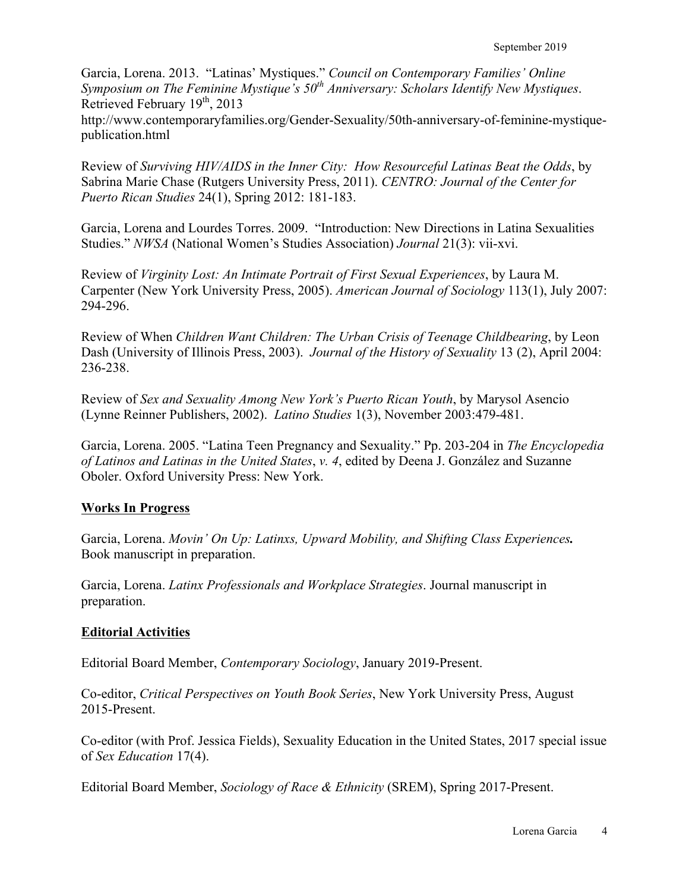Garcia, Lorena. 2013. "Latinas' Mystiques." *Council on Contemporary Families' Online Symposium on The Feminine Mystique's 50th Anniversary: Scholars Identify New Mystiques*. Retrieved February  $19<sup>th</sup>$ , 2013

http://www.contemporaryfamilies.org/Gender-Sexuality/50th-anniversary-of-feminine-mystiquepublication.html

Review of *Surviving HIV/AIDS in the Inner City: How Resourceful Latinas Beat the Odds*, by Sabrina Marie Chase (Rutgers University Press, 2011). *CENTRO: Journal of the Center for Puerto Rican Studies* 24(1), Spring 2012: 181-183.

Garcia, Lorena and Lourdes Torres. 2009. "Introduction: New Directions in Latina Sexualities Studies." *NWSA* (National Women's Studies Association) *Journal* 21(3): vii-xvi.

Review of *Virginity Lost: An Intimate Portrait of First Sexual Experiences*, by Laura M. Carpenter (New York University Press, 2005). *American Journal of Sociology* 113(1), July 2007: 294-296.

Review of When *Children Want Children: The Urban Crisis of Teenage Childbearing*, by Leon Dash (University of Illinois Press, 2003). *Journal of the History of Sexuality* 13 (2), April 2004: 236-238.

Review of *Sex and Sexuality Among New York's Puerto Rican Youth*, by Marysol Asencio (Lynne Reinner Publishers, 2002). *Latino Studies* 1(3), November 2003:479-481.

Garcia, Lorena. 2005. "Latina Teen Pregnancy and Sexuality." Pp. 203-204 in *The Encyclopedia of Latinos and Latinas in the United States*, *v. 4*, edited by Deena J. González and Suzanne Oboler. Oxford University Press: New York.

# **Works In Progress**

Garcia, Lorena. *Movin' On Up: Latinxs, Upward Mobility, and Shifting Class Experiences.* Book manuscript in preparation.

Garcia, Lorena. *Latinx Professionals and Workplace Strategies*. Journal manuscript in preparation.

### **Editorial Activities**

Editorial Board Member, *Contemporary Sociology*, January 2019-Present.

Co-editor, *Critical Perspectives on Youth Book Series*, New York University Press, August 2015-Present.

Co-editor (with Prof. Jessica Fields), Sexuality Education in the United States, 2017 special issue of *Sex Education* 17(4).

Editorial Board Member, *Sociology of Race & Ethnicity* (SREM), Spring 2017-Present.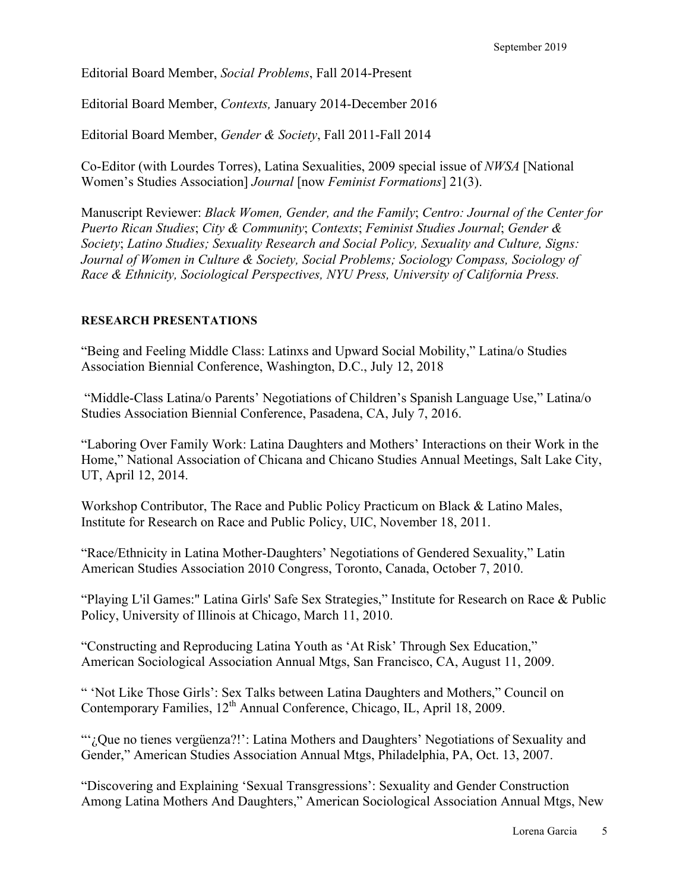Editorial Board Member, *Social Problems*, Fall 2014-Present

Editorial Board Member, *Contexts,* January 2014-December 2016

Editorial Board Member, *Gender & Society*, Fall 2011-Fall 2014

Co-Editor (with Lourdes Torres), Latina Sexualities, 2009 special issue of *NWSA* [National Women's Studies Association] *Journal* [now *Feminist Formations*] 21(3).

Manuscript Reviewer: *Black Women, Gender, and the Family*; *Centro: Journal of the Center for Puerto Rican Studies*; *City & Community*; *Contexts*; *Feminist Studies Journal*; *Gender & Society*; *Latino Studies; Sexuality Research and Social Policy, Sexuality and Culture, Signs: Journal of Women in Culture & Society, Social Problems; Sociology Compass, Sociology of Race & Ethnicity, Sociological Perspectives, NYU Press, University of California Press.*

#### **RESEARCH PRESENTATIONS**

"Being and Feeling Middle Class: Latinxs and Upward Social Mobility," Latina/o Studies Association Biennial Conference, Washington, D.C., July 12, 2018

"Middle-Class Latina/o Parents' Negotiations of Children's Spanish Language Use," Latina/o Studies Association Biennial Conference, Pasadena, CA, July 7, 2016.

"Laboring Over Family Work: Latina Daughters and Mothers' Interactions on their Work in the Home," National Association of Chicana and Chicano Studies Annual Meetings, Salt Lake City, UT, April 12, 2014.

Workshop Contributor, The Race and Public Policy Practicum on Black & Latino Males, Institute for Research on Race and Public Policy, UIC, November 18, 2011.

"Race/Ethnicity in Latina Mother-Daughters' Negotiations of Gendered Sexuality," Latin American Studies Association 2010 Congress, Toronto, Canada, October 7, 2010.

"Playing L'il Games:" Latina Girls' Safe Sex Strategies," Institute for Research on Race & Public Policy, University of Illinois at Chicago, March 11, 2010.

"Constructing and Reproducing Latina Youth as 'At Risk' Through Sex Education," American Sociological Association Annual Mtgs, San Francisco, CA, August 11, 2009.

" 'Not Like Those Girls': Sex Talks between Latina Daughters and Mothers," Council on Contemporary Families, 12<sup>th</sup> Annual Conference, Chicago, IL, April 18, 2009.

"'¿Que no tienes vergüenza?!': Latina Mothers and Daughters' Negotiations of Sexuality and Gender," American Studies Association Annual Mtgs, Philadelphia, PA, Oct. 13, 2007.

"Discovering and Explaining 'Sexual Transgressions': Sexuality and Gender Construction Among Latina Mothers And Daughters," American Sociological Association Annual Mtgs, New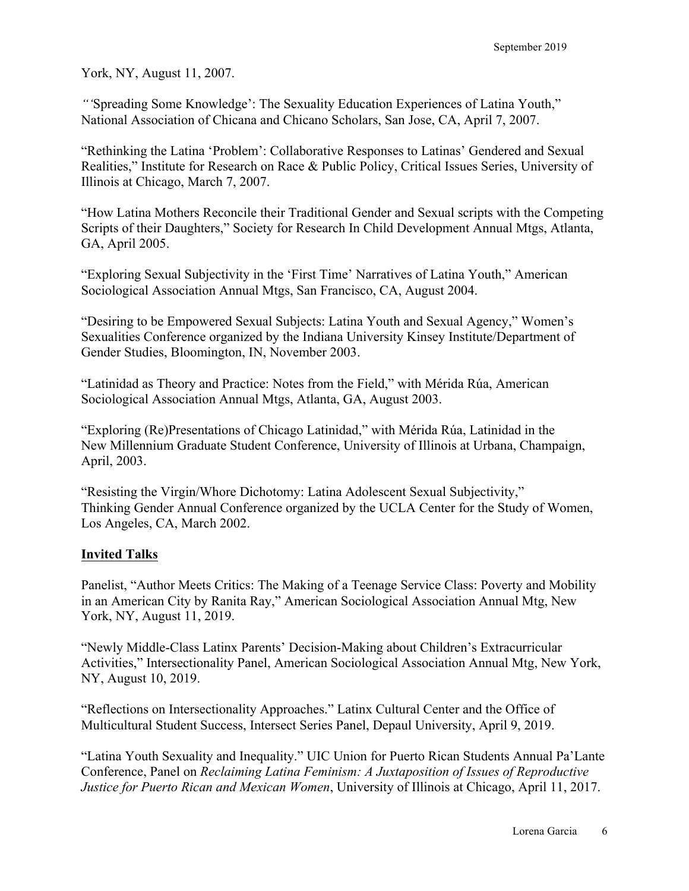York, NY, August 11, 2007.

*"'*Spreading Some Knowledge': The Sexuality Education Experiences of Latina Youth," National Association of Chicana and Chicano Scholars, San Jose, CA, April 7, 2007.

"Rethinking the Latina 'Problem': Collaborative Responses to Latinas' Gendered and Sexual Realities," Institute for Research on Race & Public Policy, Critical Issues Series, University of Illinois at Chicago, March 7, 2007.

"How Latina Mothers Reconcile their Traditional Gender and Sexual scripts with the Competing Scripts of their Daughters," Society for Research In Child Development Annual Mtgs, Atlanta, GA, April 2005.

"Exploring Sexual Subjectivity in the 'First Time' Narratives of Latina Youth," American Sociological Association Annual Mtgs, San Francisco, CA, August 2004.

"Desiring to be Empowered Sexual Subjects: Latina Youth and Sexual Agency," Women's Sexualities Conference organized by the Indiana University Kinsey Institute/Department of Gender Studies, Bloomington, IN, November 2003.

"Latinidad as Theory and Practice: Notes from the Field," with Mérida Rúa, American Sociological Association Annual Mtgs, Atlanta, GA, August 2003.

"Exploring (Re)Presentations of Chicago Latinidad," with Mérida Rúa, Latinidad in the New Millennium Graduate Student Conference, University of Illinois at Urbana, Champaign, April, 2003.

"Resisting the Virgin/Whore Dichotomy: Latina Adolescent Sexual Subjectivity," Thinking Gender Annual Conference organized by the UCLA Center for the Study of Women, Los Angeles, CA, March 2002.

# **Invited Talks**

Panelist, "Author Meets Critics: The Making of a Teenage Service Class: Poverty and Mobility in an American City by Ranita Ray," American Sociological Association Annual Mtg, New York, NY, August 11, 2019.

"Newly Middle-Class Latinx Parents' Decision-Making about Children's Extracurricular Activities," Intersectionality Panel, American Sociological Association Annual Mtg, New York, NY, August 10, 2019.

"Reflections on Intersectionality Approaches." Latinx Cultural Center and the Office of Multicultural Student Success, Intersect Series Panel, Depaul University, April 9, 2019.

"Latina Youth Sexuality and Inequality." UIC Union for Puerto Rican Students Annual Pa'Lante Conference, Panel on *Reclaiming Latina Feminism: A Juxtaposition of Issues of Reproductive Justice for Puerto Rican and Mexican Women*, University of Illinois at Chicago, April 11, 2017.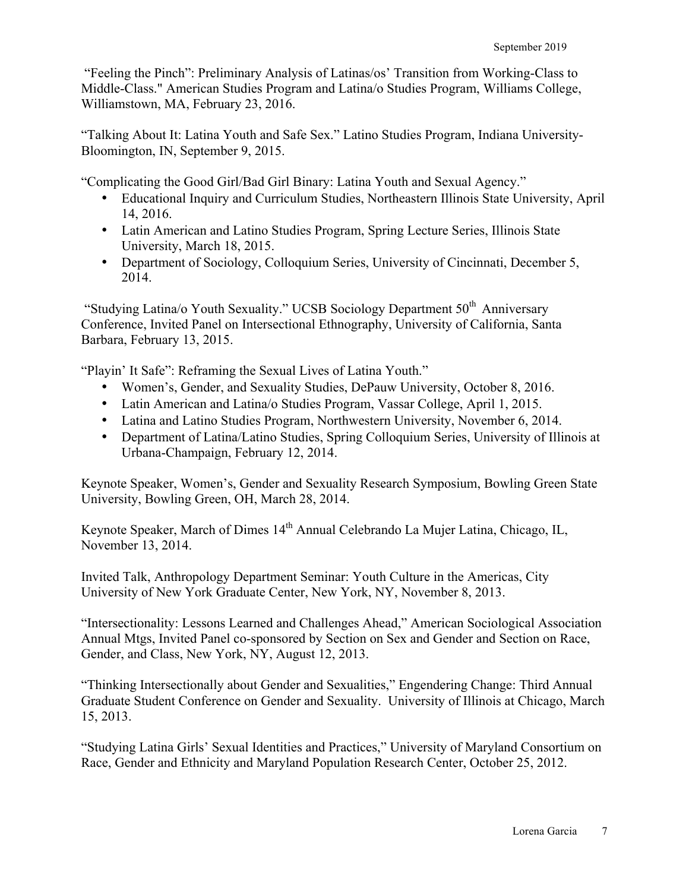"Feeling the Pinch": Preliminary Analysis of Latinas/os' Transition from Working-Class to Middle-Class." American Studies Program and Latina/o Studies Program, Williams College, Williamstown, MA, February 23, 2016.

"Talking About It: Latina Youth and Safe Sex." Latino Studies Program, Indiana University-Bloomington, IN, September 9, 2015.

"Complicating the Good Girl/Bad Girl Binary: Latina Youth and Sexual Agency."

- Educational Inquiry and Curriculum Studies, Northeastern Illinois State University, April 14, 2016.
- Latin American and Latino Studies Program, Spring Lecture Series, Illinois State University, March 18, 2015.
- Department of Sociology, Colloquium Series, University of Cincinnati, December 5, 2014.

"Studying Latina/o Youth Sexuality." UCSB Sociology Department 50<sup>th</sup> Anniversary Conference, Invited Panel on Intersectional Ethnography, University of California, Santa Barbara, February 13, 2015.

"Playin' It Safe": Reframing the Sexual Lives of Latina Youth."

- Women's, Gender, and Sexuality Studies, DePauw University, October 8, 2016.
- Latin American and Latina/o Studies Program, Vassar College, April 1, 2015.
- Latina and Latino Studies Program, Northwestern University, November 6, 2014.
- Department of Latina/Latino Studies, Spring Colloquium Series, University of Illinois at Urbana-Champaign, February 12, 2014.

Keynote Speaker, Women's, Gender and Sexuality Research Symposium, Bowling Green State University, Bowling Green, OH, March 28, 2014.

Keynote Speaker, March of Dimes 14<sup>th</sup> Annual Celebrando La Mujer Latina, Chicago, IL, November 13, 2014.

Invited Talk, Anthropology Department Seminar: Youth Culture in the Americas, City University of New York Graduate Center, New York, NY, November 8, 2013.

"Intersectionality: Lessons Learned and Challenges Ahead," American Sociological Association Annual Mtgs, Invited Panel co-sponsored by Section on Sex and Gender and Section on Race, Gender, and Class, New York, NY, August 12, 2013.

"Thinking Intersectionally about Gender and Sexualities," Engendering Change: Third Annual Graduate Student Conference on Gender and Sexuality. University of Illinois at Chicago, March 15, 2013.

"Studying Latina Girls' Sexual Identities and Practices," University of Maryland Consortium on Race, Gender and Ethnicity and Maryland Population Research Center, October 25, 2012.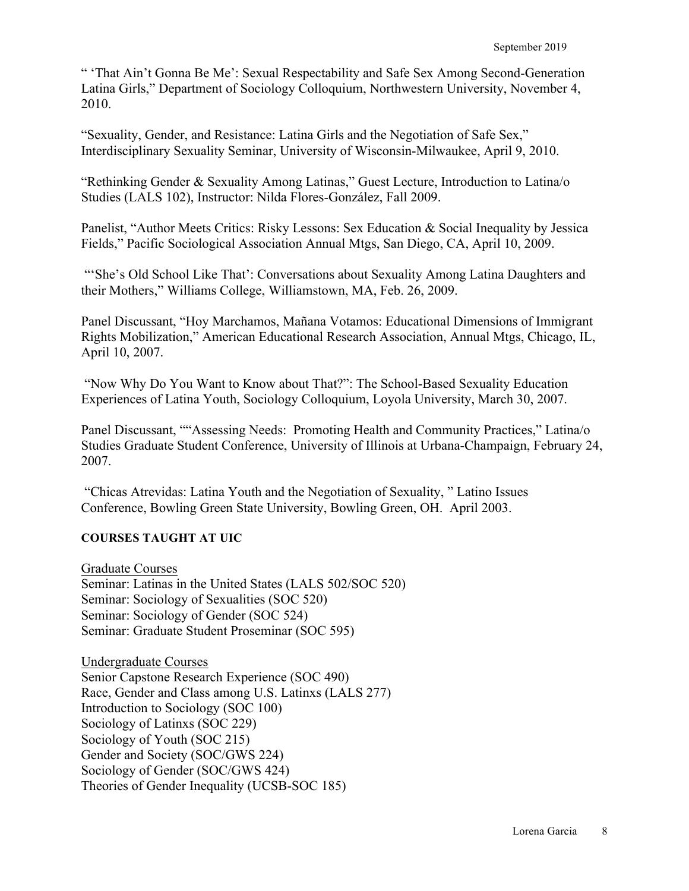" 'That Ain't Gonna Be Me': Sexual Respectability and Safe Sex Among Second-Generation Latina Girls," Department of Sociology Colloquium, Northwestern University, November 4, 2010.

"Sexuality, Gender, and Resistance: Latina Girls and the Negotiation of Safe Sex," Interdisciplinary Sexuality Seminar, University of Wisconsin-Milwaukee, April 9, 2010.

"Rethinking Gender & Sexuality Among Latinas," Guest Lecture, Introduction to Latina/o Studies (LALS 102), Instructor: Nilda Flores-González, Fall 2009.

Panelist, "Author Meets Critics: Risky Lessons: Sex Education & Social Inequality by Jessica Fields," Pacific Sociological Association Annual Mtgs, San Diego, CA, April 10, 2009.

"'She's Old School Like That': Conversations about Sexuality Among Latina Daughters and their Mothers," Williams College, Williamstown, MA, Feb. 26, 2009.

Panel Discussant, "Hoy Marchamos, Mañana Votamos: Educational Dimensions of Immigrant Rights Mobilization," American Educational Research Association, Annual Mtgs, Chicago, IL, April 10, 2007.

"Now Why Do You Want to Know about That?": The School-Based Sexuality Education Experiences of Latina Youth, Sociology Colloquium, Loyola University, March 30, 2007.

Panel Discussant, ""Assessing Needs: Promoting Health and Community Practices," Latina/o Studies Graduate Student Conference, University of Illinois at Urbana-Champaign, February 24, 2007.

"Chicas Atrevidas: Latina Youth and the Negotiation of Sexuality, " Latino Issues Conference, Bowling Green State University, Bowling Green, OH. April 2003.

# **COURSES TAUGHT AT UIC**

Graduate Courses Seminar: Latinas in the United States (LALS 502/SOC 520) Seminar: Sociology of Sexualities (SOC 520) Seminar: Sociology of Gender (SOC 524) Seminar: Graduate Student Proseminar (SOC 595)

Undergraduate Courses Senior Capstone Research Experience (SOC 490) Race, Gender and Class among U.S. Latinxs (LALS 277) Introduction to Sociology (SOC 100) Sociology of Latinxs (SOC 229) Sociology of Youth (SOC 215) Gender and Society (SOC/GWS 224) Sociology of Gender (SOC/GWS 424) Theories of Gender Inequality (UCSB-SOC 185)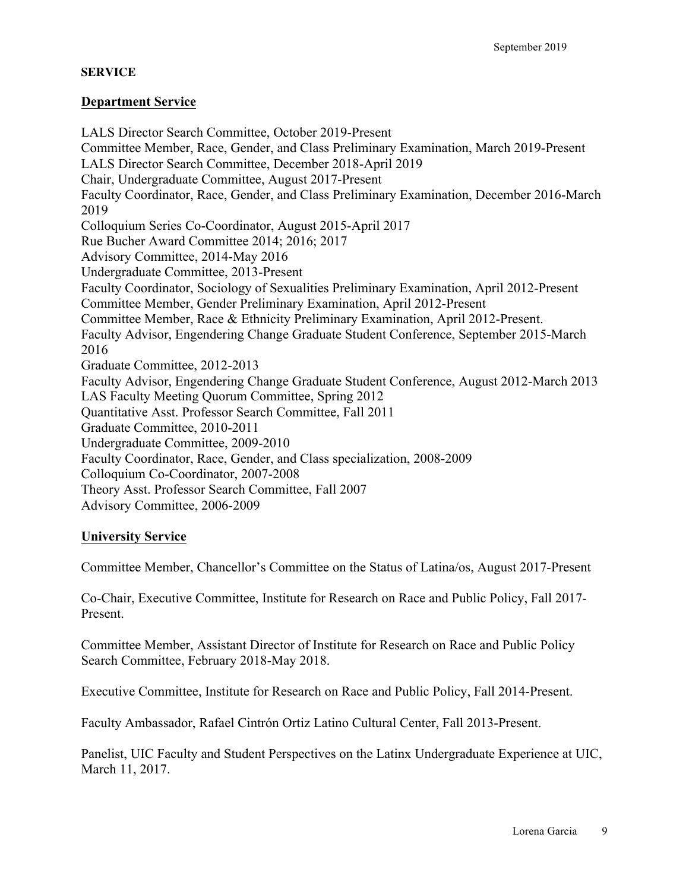# **SERVICE**

### **Department Service**

LALS Director Search Committee, October 2019-Present Committee Member, Race, Gender, and Class Preliminary Examination, March 2019-Present LALS Director Search Committee, December 2018-April 2019 Chair, Undergraduate Committee, August 2017-Present Faculty Coordinator, Race, Gender, and Class Preliminary Examination, December 2016-March 2019 Colloquium Series Co-Coordinator, August 2015-April 2017 Rue Bucher Award Committee 2014; 2016; 2017 Advisory Committee, 2014-May 2016 Undergraduate Committee, 2013-Present Faculty Coordinator, Sociology of Sexualities Preliminary Examination, April 2012-Present Committee Member, Gender Preliminary Examination, April 2012-Present Committee Member, Race & Ethnicity Preliminary Examination, April 2012-Present. Faculty Advisor, Engendering Change Graduate Student Conference, September 2015-March 2016 Graduate Committee, 2012-2013 Faculty Advisor, Engendering Change Graduate Student Conference, August 2012-March 2013 LAS Faculty Meeting Quorum Committee, Spring 2012 Quantitative Asst. Professor Search Committee, Fall 2011 Graduate Committee, 2010-2011 Undergraduate Committee, 2009-2010 Faculty Coordinator, Race, Gender, and Class specialization, 2008-2009 Colloquium Co-Coordinator, 2007-2008 Theory Asst. Professor Search Committee, Fall 2007 Advisory Committee, 2006-2009

# **University Service**

Committee Member, Chancellor's Committee on the Status of Latina/os, August 2017-Present

Co-Chair, Executive Committee, Institute for Research on Race and Public Policy, Fall 2017- Present.

Committee Member, Assistant Director of Institute for Research on Race and Public Policy Search Committee, February 2018-May 2018.

Executive Committee, Institute for Research on Race and Public Policy, Fall 2014-Present.

Faculty Ambassador, Rafael Cintrón Ortiz Latino Cultural Center, Fall 2013-Present.

Panelist, UIC Faculty and Student Perspectives on the Latinx Undergraduate Experience at UIC, March 11, 2017.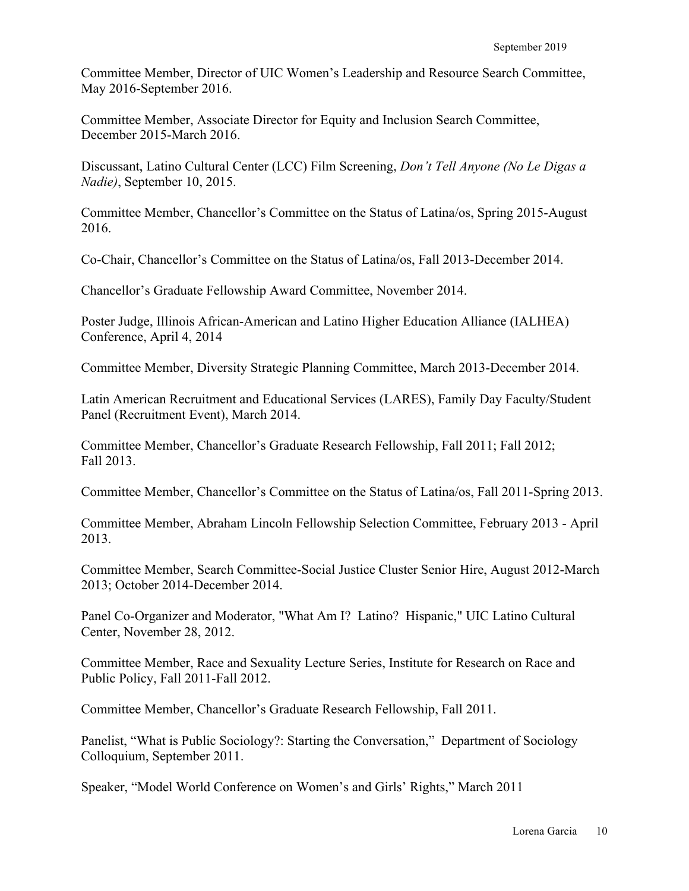Committee Member, Director of UIC Women's Leadership and Resource Search Committee, May 2016-September 2016.

Committee Member, Associate Director for Equity and Inclusion Search Committee, December 2015-March 2016.

Discussant, Latino Cultural Center (LCC) Film Screening, *Don't Tell Anyone (No Le Digas a Nadie)*, September 10, 2015.

Committee Member, Chancellor's Committee on the Status of Latina/os, Spring 2015-August 2016.

Co-Chair, Chancellor's Committee on the Status of Latina/os, Fall 2013-December 2014.

Chancellor's Graduate Fellowship Award Committee, November 2014.

Poster Judge, Illinois African-American and Latino Higher Education Alliance (IALHEA) Conference, April 4, 2014

Committee Member, Diversity Strategic Planning Committee, March 2013-December 2014.

Latin American Recruitment and Educational Services (LARES), Family Day Faculty/Student Panel (Recruitment Event), March 2014.

Committee Member, Chancellor's Graduate Research Fellowship, Fall 2011; Fall 2012; Fall 2013.

Committee Member, Chancellor's Committee on the Status of Latina/os, Fall 2011-Spring 2013.

Committee Member, Abraham Lincoln Fellowship Selection Committee, February 2013 - April 2013.

Committee Member, Search Committee-Social Justice Cluster Senior Hire, August 2012-March 2013; October 2014-December 2014.

Panel Co-Organizer and Moderator, "What Am I? Latino? Hispanic," UIC Latino Cultural Center, November 28, 2012.

Committee Member, Race and Sexuality Lecture Series, Institute for Research on Race and Public Policy, Fall 2011-Fall 2012.

Committee Member, Chancellor's Graduate Research Fellowship, Fall 2011.

Panelist, "What is Public Sociology?: Starting the Conversation," Department of Sociology Colloquium, September 2011.

Speaker, "Model World Conference on Women's and Girls' Rights," March 2011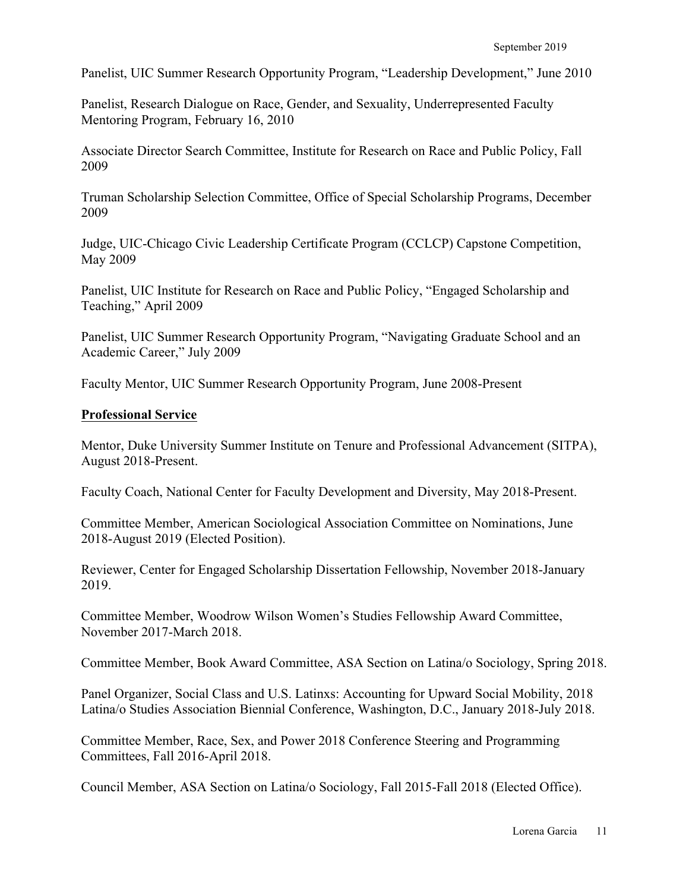Panelist, UIC Summer Research Opportunity Program, "Leadership Development," June 2010

Panelist, Research Dialogue on Race, Gender, and Sexuality, Underrepresented Faculty Mentoring Program, February 16, 2010

Associate Director Search Committee, Institute for Research on Race and Public Policy, Fall 2009

Truman Scholarship Selection Committee, Office of Special Scholarship Programs, December 2009

Judge, UIC-Chicago Civic Leadership Certificate Program (CCLCP) Capstone Competition, May 2009

Panelist, UIC Institute for Research on Race and Public Policy, "Engaged Scholarship and Teaching," April 2009

Panelist, UIC Summer Research Opportunity Program, "Navigating Graduate School and an Academic Career," July 2009

Faculty Mentor, UIC Summer Research Opportunity Program, June 2008-Present

### **Professional Service**

Mentor, Duke University Summer Institute on Tenure and Professional Advancement (SITPA), August 2018-Present.

Faculty Coach, National Center for Faculty Development and Diversity, May 2018-Present.

Committee Member, American Sociological Association Committee on Nominations, June 2018-August 2019 (Elected Position).

Reviewer, Center for Engaged Scholarship Dissertation Fellowship, November 2018-January 2019.

Committee Member, Woodrow Wilson Women's Studies Fellowship Award Committee, November 2017-March 2018.

Committee Member, Book Award Committee, ASA Section on Latina/o Sociology, Spring 2018.

Panel Organizer, Social Class and U.S. Latinxs: Accounting for Upward Social Mobility, 2018 Latina/o Studies Association Biennial Conference, Washington, D.C., January 2018-July 2018.

Committee Member, Race, Sex, and Power 2018 Conference Steering and Programming Committees, Fall 2016-April 2018.

Council Member, ASA Section on Latina/o Sociology, Fall 2015-Fall 2018 (Elected Office).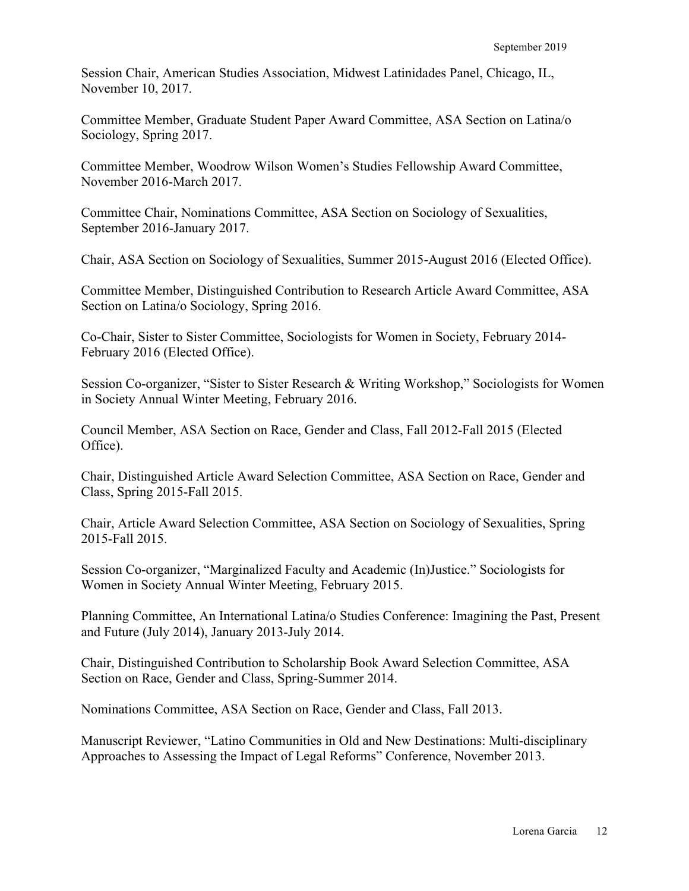Session Chair, American Studies Association, Midwest Latinidades Panel, Chicago, IL, November 10, 2017.

Committee Member, Graduate Student Paper Award Committee, ASA Section on Latina/o Sociology, Spring 2017.

Committee Member, Woodrow Wilson Women's Studies Fellowship Award Committee, November 2016-March 2017.

Committee Chair, Nominations Committee, ASA Section on Sociology of Sexualities, September 2016-January 2017.

Chair, ASA Section on Sociology of Sexualities, Summer 2015-August 2016 (Elected Office).

Committee Member, Distinguished Contribution to Research Article Award Committee, ASA Section on Latina/o Sociology, Spring 2016.

Co-Chair, Sister to Sister Committee, Sociologists for Women in Society, February 2014- February 2016 (Elected Office).

Session Co-organizer, "Sister to Sister Research & Writing Workshop," Sociologists for Women in Society Annual Winter Meeting, February 2016.

Council Member, ASA Section on Race, Gender and Class, Fall 2012-Fall 2015 (Elected Office).

Chair, Distinguished Article Award Selection Committee, ASA Section on Race, Gender and Class, Spring 2015-Fall 2015.

Chair, Article Award Selection Committee, ASA Section on Sociology of Sexualities, Spring 2015-Fall 2015.

Session Co-organizer, "Marginalized Faculty and Academic (In)Justice." Sociologists for Women in Society Annual Winter Meeting, February 2015.

Planning Committee, An International Latina/o Studies Conference: Imagining the Past, Present and Future (July 2014), January 2013-July 2014.

Chair, Distinguished Contribution to Scholarship Book Award Selection Committee, ASA Section on Race, Gender and Class, Spring-Summer 2014.

Nominations Committee, ASA Section on Race, Gender and Class, Fall 2013.

Manuscript Reviewer, "Latino Communities in Old and New Destinations: Multi-disciplinary Approaches to Assessing the Impact of Legal Reforms" Conference, November 2013.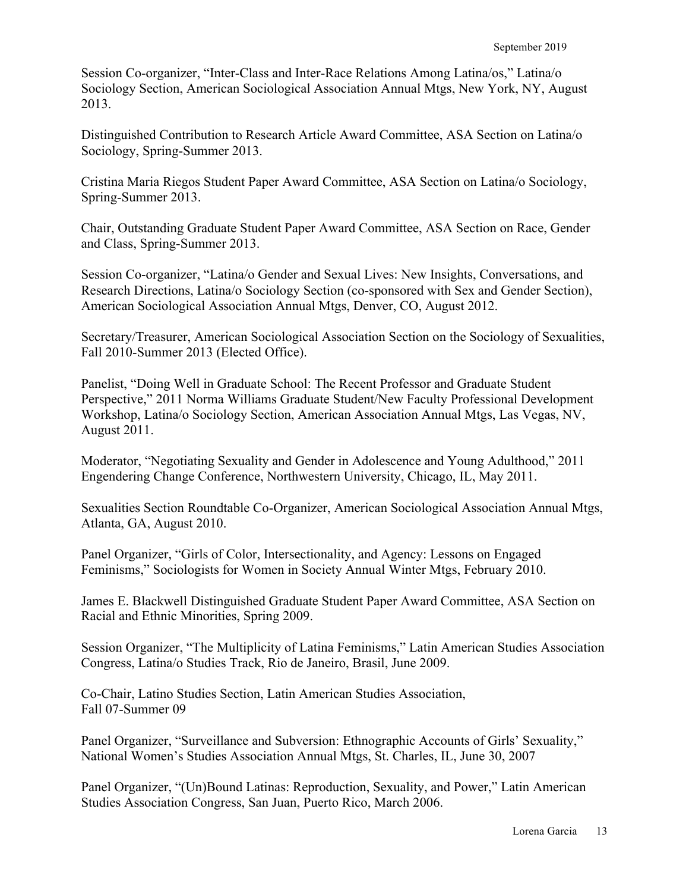Session Co-organizer, "Inter-Class and Inter-Race Relations Among Latina/os," Latina/o Sociology Section, American Sociological Association Annual Mtgs, New York, NY, August 2013.

Distinguished Contribution to Research Article Award Committee, ASA Section on Latina/o Sociology, Spring-Summer 2013.

Cristina Maria Riegos Student Paper Award Committee, ASA Section on Latina/o Sociology, Spring-Summer 2013.

Chair, Outstanding Graduate Student Paper Award Committee, ASA Section on Race, Gender and Class, Spring-Summer 2013.

Session Co-organizer, "Latina/o Gender and Sexual Lives: New Insights, Conversations, and Research Directions, Latina/o Sociology Section (co-sponsored with Sex and Gender Section), American Sociological Association Annual Mtgs, Denver, CO, August 2012.

Secretary/Treasurer, American Sociological Association Section on the Sociology of Sexualities, Fall 2010-Summer 2013 (Elected Office).

Panelist, "Doing Well in Graduate School: The Recent Professor and Graduate Student Perspective," 2011 Norma Williams Graduate Student/New Faculty Professional Development Workshop, Latina/o Sociology Section, American Association Annual Mtgs, Las Vegas, NV, August 2011.

Moderator, "Negotiating Sexuality and Gender in Adolescence and Young Adulthood," 2011 Engendering Change Conference, Northwestern University, Chicago, IL, May 2011.

Sexualities Section Roundtable Co-Organizer, American Sociological Association Annual Mtgs, Atlanta, GA, August 2010.

Panel Organizer, "Girls of Color, Intersectionality, and Agency: Lessons on Engaged Feminisms," Sociologists for Women in Society Annual Winter Mtgs, February 2010.

James E. Blackwell Distinguished Graduate Student Paper Award Committee, ASA Section on Racial and Ethnic Minorities, Spring 2009.

Session Organizer, "The Multiplicity of Latina Feminisms," Latin American Studies Association Congress, Latina/o Studies Track, Rio de Janeiro, Brasil, June 2009.

Co-Chair, Latino Studies Section, Latin American Studies Association, Fall 07-Summer 09

Panel Organizer, "Surveillance and Subversion: Ethnographic Accounts of Girls' Sexuality," National Women's Studies Association Annual Mtgs, St. Charles, IL, June 30, 2007

Panel Organizer, "(Un)Bound Latinas: Reproduction, Sexuality, and Power," Latin American Studies Association Congress, San Juan, Puerto Rico, March 2006.